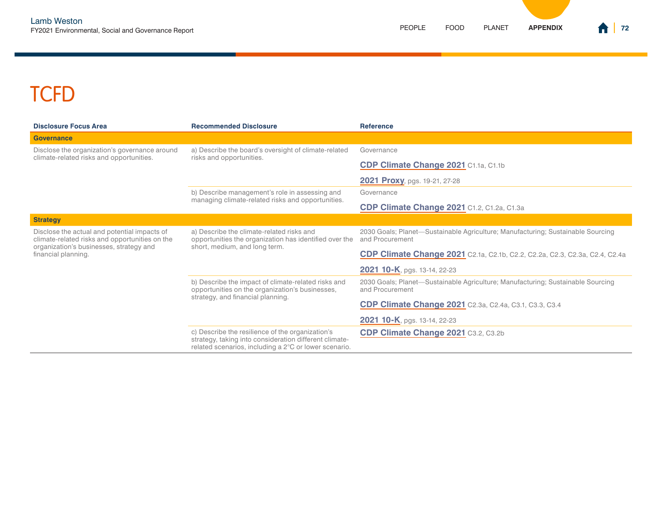## **TCFD**

| <b>Disclosure Focus Area</b>                                                                                                                                     | <b>Recommended Disclosure</b>                                                                                                                                       | <b>Reference</b>                                                                                   |
|------------------------------------------------------------------------------------------------------------------------------------------------------------------|---------------------------------------------------------------------------------------------------------------------------------------------------------------------|----------------------------------------------------------------------------------------------------|
| <b>Governance</b>                                                                                                                                                |                                                                                                                                                                     |                                                                                                    |
| Disclose the organization's governance around<br>climate-related risks and opportunities.                                                                        | a) Describe the board's oversight of climate-related<br>risks and opportunities.                                                                                    | Governance                                                                                         |
|                                                                                                                                                                  |                                                                                                                                                                     | CDP Climate Change 2021 C1.1a, C1.1b                                                               |
|                                                                                                                                                                  |                                                                                                                                                                     | <b>2021 Proxy</b> , pgs. 19-21, 27-28                                                              |
|                                                                                                                                                                  | b) Describe management's role in assessing and<br>managing climate-related risks and opportunities.                                                                 | Governance                                                                                         |
|                                                                                                                                                                  |                                                                                                                                                                     | CDP Climate Change 2021 C1.2, C1.2a, C1.3a                                                         |
| <b>Strategy</b>                                                                                                                                                  |                                                                                                                                                                     |                                                                                                    |
| Disclose the actual and potential impacts of<br>climate-related risks and opportunities on the<br>organization's businesses, strategy and<br>financial planning. | a) Describe the climate-related risks and<br>opportunities the organization has identified over the<br>short, medium, and long term.                                | 2030 Goals; Planet—Sustainable Agriculture; Manufacturing; Sustainable Sourcing<br>and Procurement |
|                                                                                                                                                                  |                                                                                                                                                                     | <b>CDP Climate Change 2021</b> C2.1a, C2.1b, C2.2, C2.2a, C2.3, C2.3a, C2.4, C2.4a                 |
|                                                                                                                                                                  |                                                                                                                                                                     | 2021 10-K, pgs. 13-14, 22-23                                                                       |
|                                                                                                                                                                  | b) Describe the impact of climate-related risks and<br>opportunities on the organization's businesses,<br>strategy, and financial planning.                         | 2030 Goals; Planet-Sustainable Agriculture; Manufacturing; Sustainable Sourcing<br>and Procurement |
|                                                                                                                                                                  |                                                                                                                                                                     | <b>CDP Climate Change 2021</b> C2.3a, C2.4a, C3.1, C3.3, C3.4                                      |
|                                                                                                                                                                  |                                                                                                                                                                     | <b>2021 10-K</b> , pgs. 13-14, 22-23                                                               |
|                                                                                                                                                                  | c) Describe the resilience of the organization's<br>strategy, taking into consideration different climate-<br>related scenarios, including a 2°C or lower scenario. | CDP Climate Change 2021 C3.2, C3.2b                                                                |